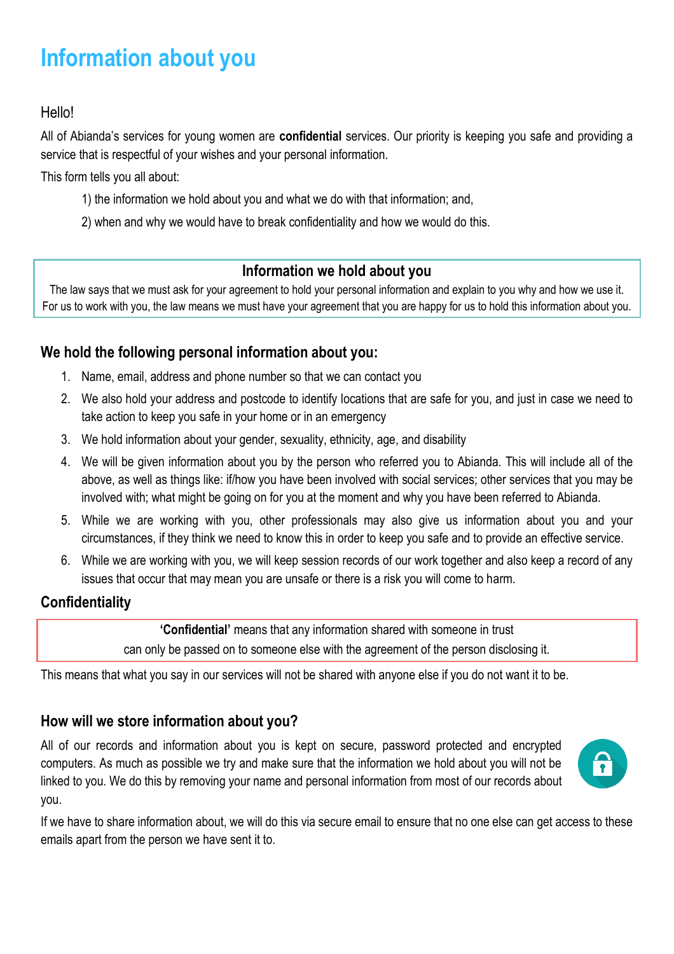# **Information about you**

## Hello!

All of Abianda's services for young women are **confidential** services. Our priority is keeping you safe and providing a service that is respectful of your wishes and your personal information.

This form tells you all about:

- 1) the information we hold about you and what we do with that information; and,
- 2) when and why we would have to break confidentiality and how we would do this.

#### **Information we hold about you**

The law says that we must ask for your agreement to hold your personal information and explain to you why and how we use it. For us to work with you, the law means we must have your agreement that you are happy for us to hold this information about you.

## **We hold the following personal information about you:**

- 1. Name, email, address and phone number so that we can contact you
- 2. We also hold your address and postcode to identify locations that are safe for you, and just in case we need to take action to keep you safe in your home or in an emergency
- 3. We hold information about your gender, sexuality, ethnicity, age, and disability
- 4. We will be given information about you by the person who referred you to Abianda. This will include all of the above, as well as things like: if/how you have been involved with social services; other services that you may be involved with; what might be going on for you at the moment and why you have been referred to Abianda.
- 5. While we are working with you, other professionals may also give us information about you and your circumstances, if they think we need to know this in order to keep you safe and to provide an effective service.
- 6. While we are working with you, we will keep session records of our work together and also keep a record of any issues that occur that may mean you are unsafe or there is a risk you will come to harm.

## **Confidentiality**

**'Confidential'** means that any information shared with someone in trust can only be passed on to someone else with the agreement of the person disclosing it.

This means that what you say in our services will not be shared with anyone else if you do not want it to be.

## **How will we store information about you?**

All of our records and information about you is kept on secure, password protected and encrypted computers. As much as possible we try and make sure that the information we hold about you will not be linked to you. We do this by removing your name and personal information from most of our records about you.



If we have to share information about, we will do this via secure email to ensure that no one else can get access to these emails apart from the person we have sent it to.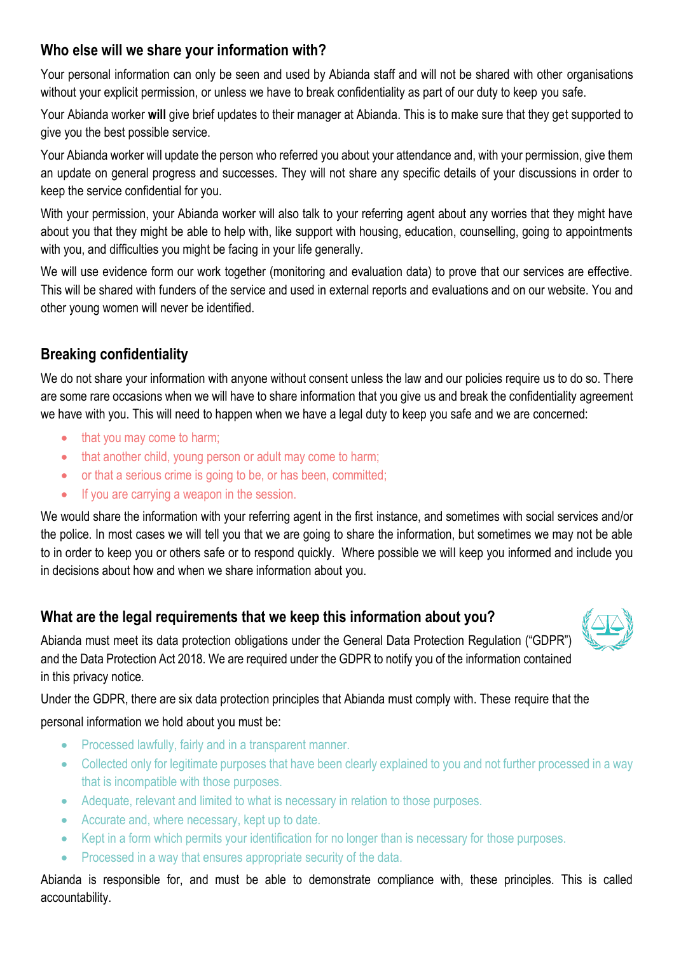## **Who else will we share your information with?**

Your personal information can only be seen and used by Abianda staff and will not be shared with other organisations without your explicit permission, or unless we have to break confidentiality as part of our duty to keep you safe.

Your Abianda worker **will** give brief updates to their manager at Abianda. This is to make sure that they get supported to give you the best possible service.

Your Abianda worker will update the person who referred you about your attendance and, with your permission, give them an update on general progress and successes. They will not share any specific details of your discussions in order to keep the service confidential for you.

With your permission, your Abianda worker will also talk to your referring agent about any worries that they might have about you that they might be able to help with, like support with housing, education, counselling, going to appointments with you, and difficulties you might be facing in your life generally.

We will use evidence form our work together (monitoring and evaluation data) to prove that our services are effective. This will be shared with funders of the service and used in external reports and evaluations and on our website. You and other young women will never be identified.

## **Breaking confidentiality**

We do not share your information with anyone without consent unless the law and our policies require us to do so. There are some rare occasions when we will have to share information that you give us and break the confidentiality agreement we have with you. This will need to happen when we have a legal duty to keep you safe and we are concerned:

- that you may come to harm;
- that another child, young person or adult may come to harm;
- or that a serious crime is going to be, or has been, committed;
- If you are carrying a weapon in the session.

We would share the information with your referring agent in the first instance, and sometimes with social services and/or the police. In most cases we will tell you that we are going to share the information, but sometimes we may not be able to in order to keep you or others safe or to respond quickly. Where possible we will keep you informed and include you in decisions about how and when we share information about you.

## **What are the legal requirements that we keep this information about you?**

Abianda must meet its data protection obligations under the General Data Protection Regulation ("GDPR") and the Data Protection Act 2018. We are required under the GDPR to notify you of the information contained in this privacy notice.

Under the GDPR, there are six data protection principles that Abianda must comply with. These require that the personal information we hold about you must be:

- Processed lawfully, fairly and in a transparent manner.
- Collected only for legitimate purposes that have been clearly explained to you and not further processed in a way that is incompatible with those purposes.
- Adequate, relevant and limited to what is necessary in relation to those purposes.
- Accurate and, where necessary, kept up to date.
- Kept in a form which permits your identification for no longer than is necessary for those purposes.
- Processed in a way that ensures appropriate security of the data.

Abianda is responsible for, and must be able to demonstrate compliance with, these principles. This is called accountability.